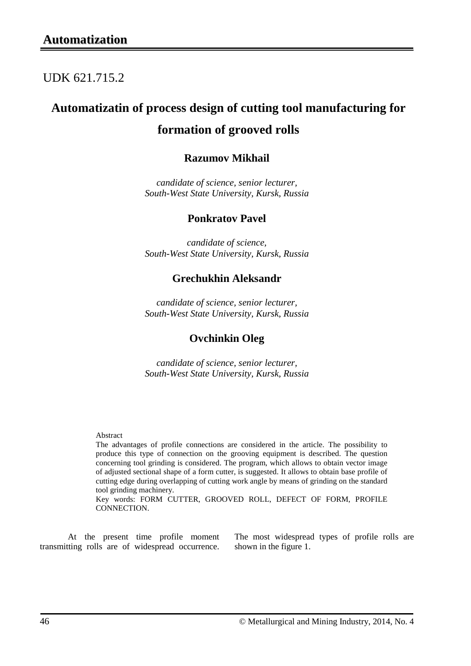## UDK 621.715.2

# **Automatizatin of process design of cutting tool manufacturing for**

## **formation of grooved rolls**

### **Razumov Mikhail**

*candidate of science, senior lecturer, South-West State University, Kursk, Russia*

### **Ponkratov Pavel**

*candidate of science, South-West State University, Kursk, Russia*

### **Grechukhin Aleksandr**

*candidate of science, senior lecturer, South-West State University, Kursk, Russia*

### **Ovchinkin Oleg**

*candidate of science, senior lecturer, South-West State University, Kursk, Russia*

#### Abstract

The advantages of profile connections are considered in the article. The possibility to produce this type of connection on the grooving equipment is described. The question concerning tool grinding is considered. The program, which allows to obtain vector image of adjusted sectional shape of a form cutter, is suggested. It allows to obtain base profile of cutting edge during overlapping of cutting work angle by means of grinding on the standard tool grinding machinery.

Key words: FORM CUTTER, GROOVED ROLL, DEFECT OF FORM, PROFILE CONNECTION.

At the present time profile moment transmitting rolls are of widespread occurrence. The most widespread types of profile rolls are shown in the figure 1.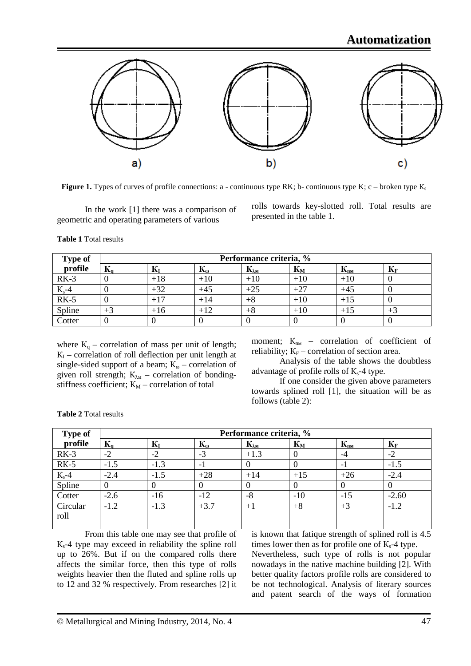

**Figure 1.** Types of curves of profile connections: a - continuous type RK; b- continuous type K; c – broken type  $K_s$ 

In the work [1] there was a comparison of geometric and operating parameters of various

rolls towards key-slotted roll. Total results are presented in the table 1.

**Table 1** Total results

| <b>Type of</b> | Performance criteria, % |       |                       |                                   |       |          |                |  |
|----------------|-------------------------|-------|-----------------------|-----------------------------------|-------|----------|----------------|--|
| profile        | $\mathbf{K}_{a}$        | $K_I$ | $\mathbf{r}^{\omega}$ | $\mathbf{K}_{\lambda \mathbf{M}}$ | $K_M$ | $K_{nn}$ | $\mathbf{L}$ F |  |
| $RK-3$         | υ                       | $+18$ | $+10$                 | $+10$                             | $+10$ | $+10$    |                |  |
| $K_s-4$        |                         | $+32$ | $+45$                 | $+25$                             | $+27$ | $+45$    |                |  |
| $RK-5$         |                         | $+17$ | $+14$                 | $+8$                              | $+10$ | $+15$    |                |  |
| Spline         | $+3$                    | $+16$ | $+12$                 | $+8$                              | $+10$ | $+15$    | $+3$           |  |
| Cotter         |                         |       |                       |                                   |       |          |                |  |

where  $K_q$  – correlation of mass per unit of length;  $K_I$  – correlation of roll deflection per unit length at single-sided support of a beam;  $K_{\omega}$  – correlation of given roll strength;  $K_{\lambda M}$  – correlation of bondingstiffness coefficient;  $K_M$  – correlation of total

moment;  $K_{nM}$  – correlation of coefficient of reliability;  $K_F$  – correlation of section area.

Analysis of the table shows the doubtless advantage of profile rolls of  $K_s$ -4 type.

If one consider the given above parameters towards splined roll [1], the situation will be as follows (table 2):

| <b>Type of</b> | Performance criteria, %                                         |        |                                                   |                                                                                                                                                                                                                                         |       |          |         |  |
|----------------|-----------------------------------------------------------------|--------|---------------------------------------------------|-----------------------------------------------------------------------------------------------------------------------------------------------------------------------------------------------------------------------------------------|-------|----------|---------|--|
| profile        | $\mathbf{K}_{\mathbf{a}}$                                       | $K_I$  | $\mathbf{K}_{\boldsymbol{\omega}}$                | $\mathbf{K}_{\lambda \mathbf{M}}$                                                                                                                                                                                                       | $K_M$ | $K_{nn}$ | $K_F$   |  |
| $RK-3$         | $-2$                                                            | $-2$   | $-3$                                              | $+1.3$                                                                                                                                                                                                                                  | O     | -4       | $-2$    |  |
| $RK-5$         | $-1.5$                                                          | $-1.3$ | - 1                                               |                                                                                                                                                                                                                                         |       | ÷.       | $-1.5$  |  |
| $K_s$ -4       | $-2.4$                                                          | $-1.5$ | $+28$                                             | $+14$                                                                                                                                                                                                                                   | $+15$ | $+26$    | $-2.4$  |  |
| Spline         |                                                                 |        |                                                   | 0                                                                                                                                                                                                                                       | O     |          |         |  |
| Cotter         | $-2.6$                                                          | $-16$  | $-12$                                             | $-8$                                                                                                                                                                                                                                    | $-10$ | $-15$    | $-2.60$ |  |
| Circular       | $-1.2$                                                          | $-1.3$ | $+3.7$                                            | $+1$                                                                                                                                                                                                                                    | $+8$  | $+3$     | $-1.2$  |  |
| roll           |                                                                 |        |                                                   |                                                                                                                                                                                                                                         |       |          |         |  |
|                | $\mathbf{r}$ and $\mathbf{r}$ and $\mathbf{r}$ and $\mathbf{r}$ |        | $\mathbf{C}$<br>and the state of the state of the | $\mathbf{r} = \mathbf{r}$ and the contract of the contract of the contract of the contract of the contract of the contract of the contract of the contract of the contract of the contract of the contract of the contract of the contr |       |          |         |  |

**Table 2** Total results

From this table one may see that profile of  $K_s$ -4 type may exceed in reliability the spline roll up to 26%. But if on the compared rolls there affects the similar force, then this type of rolls weights heavier then the fluted and spline rolls up to 12 and 32 % respectively. From researches [2] it is known that fatique strength of splined roll is 4.5 times lower then as for profile one of  $K_s$ -4 type.

Nevertheless, such type of rolls is not popular nowadays in the native machine building [2]. With better quality factors profile rolls are considered to be not technological. Analysis of literary sources and patent search of the ways of formation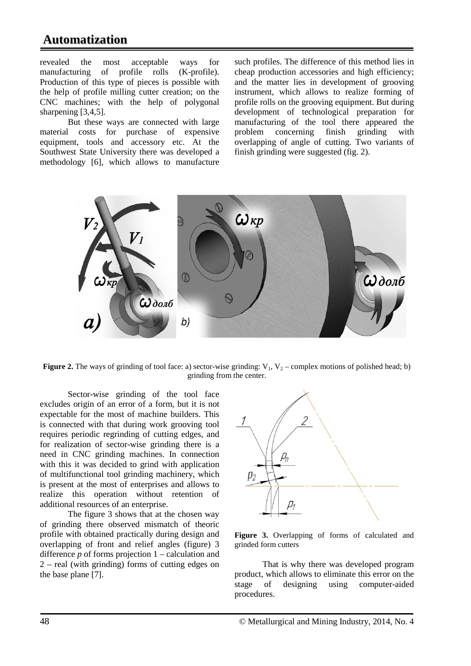revealed the most acceptable ways for manufacturing of profile rolls (K-profile). Production of this type of pieces is possible with the help of profile milling cutter creation; on the CNC machines; with the help of polygonal sharpening [3,4,5].

But these ways are connected with large material costs for purchase of expensive equipment, tools and accessory etc. At the Southwest State University there was developed a methodology [6], which allows to manufacture

such profiles. The difference of this method lies in cheap production accessories and high efficiency; and the matter lies in development of grooving instrument, which allows to realize forming of profile rolls on the grooving equipment. But during development of technological preparation for manufacturing of the tool there appeared the problem concerning finish grinding with overlapping of angle of cutting. Two variants of finish grinding were suggested (fig. 2).



**Figure 2.** The ways of grinding of tool face: a) sector-wise grinding:  $V_1$ ,  $V_2$  – complex motions of polished head; b) grinding from the center.

Sector-wise grinding of the tool face excludes origin of an error of a form, but it is not expectable for the most of machine builders. This is connected with that during work grooving tool requires periodic regrinding of cutting edges, and for realization of sector-wise grinding there is a need in CNC grinding machines. In connection with this it was decided to grind with application of multifunctional tool grinding machinery, which is present at the most of enterprises and allows to realize this operation without retention of additional resources of an enterprise.

The figure 3 shows that at the chosen way of grinding there observed mismatch of theoric profile with obtained practically during design and overlapping of front and relief angles (figure) 3 difference *p* of forms projection 1 – calculation and 2 – real (with grinding) forms of cutting edges on the base plane [7].



**Figure 3.** Overlapping of forms of calculated and grinded form cutters

That is why there was developed program product, which allows to eliminate this error on the stage of designing using computer-aided procedures.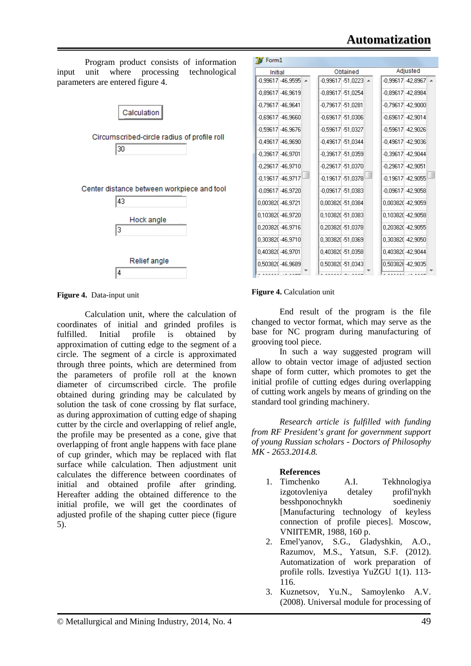

**Figure 4.** Data-input unit

Calculation unit, where the calculation of coordinates of initial and grinded profiles is fulfilled. Initial profile is obtained by approximation of cutting edge to the segment of a circle. The segment of a circle is approximated through three points, which are determined from the parameters of profile roll at the known diameter of circumscribed circle. The profile obtained during grinding may be calculated by solution the task of cone crossing by flat surface, as during approximation of cutting edge of shaping cutter by the circle and overlapping of relief angle, the profile may be presented as a cone, give that overlapping of front angle happens with face plane of cup grinder, which may be replaced with flat surface while calculation. Then adjustment unit calculates the difference between coordinates of initial and obtained profile after grinding. Hereafter adding the obtained difference to the initial profile, we will get the coordinates of adjusted profile of the shaping cutter piece (figure 5).

| Initial               |                             |  | Obtained |                                    |  |                      | Adjusted                  |  |  |
|-----------------------|-----------------------------|--|----------|------------------------------------|--|----------------------|---------------------------|--|--|
|                       | $-0.99617 - 46.9595$ $\sim$ |  |          | $-0.99617[-51.0223]$ $\rightarrow$ |  |                      | $-0.99617$ $-42.8967$ $-$ |  |  |
|                       | $-0.89617 - 46.9619$        |  |          | $-0.89617 - 51.0254$               |  |                      | $-0.89617$ $-42.8984$     |  |  |
| $-0.79617$ $-46.9641$ |                             |  |          | $-0.79617 - 51.0281$               |  |                      | $-0.79617$ $-42.9000$     |  |  |
|                       | $-0.69617$ $-46.9660$       |  |          | $-0.69617$ $-51.0306$              |  |                      | $-0.69617 - 42.9014$      |  |  |
|                       | $-0.59617 - 46.9676$        |  |          | $-0.59617$ $-51.0327$              |  |                      | -0.59617  -42.9026        |  |  |
|                       | $-0.49617 - 46.9690$        |  |          | $-0.49617 - 51.0344$               |  |                      | $-0.49617$ $-42.9036$     |  |  |
| $-0.39617$ $-46.9701$ |                             |  |          | $-0.39617[-51.0359]$               |  |                      | $-0.39617$ $-42.9044$     |  |  |
|                       | $-0.29617$ $-46.9710$       |  |          | $-0.29617$ $-51.0370$              |  | $-0.29617 - 42.9051$ |                           |  |  |
|                       | $-0.19617[-46.9717]$        |  |          | $-0.19617[-51.0378]$               |  |                      | $-0.19617$ $-42.9055$     |  |  |
|                       | $-0.09617$ $-46.9720$       |  |          | $-0.09617$ $-51.0383$              |  |                      | $-0.09617$ $-42.9058$     |  |  |
| 0,003820-46,9721      |                             |  |          | 0,003820-51,0384                   |  |                      | 0.003820-42.9059          |  |  |
|                       | 0.103820-46.9720            |  |          | 0.103820-51.0383                   |  |                      | 0,103820-42,9058          |  |  |
|                       | 0.203820-46.9716            |  |          | 0.203820-51.0378                   |  |                      | 0.203820-42.9055          |  |  |
|                       | 0,303820-46,9710            |  |          | 0.303820-51.0369                   |  |                      | 0.303820-42.9050          |  |  |
| 0,403820-46,9701      |                             |  |          | 0,403820-51,0358                   |  |                      | 0.403820-42.9044          |  |  |
|                       | 0,503820-46,9689            |  |          | 0,503820-51,0343                   |  |                      | 0,50382@-42,9035          |  |  |

#### **Figure 4.** Calculation unit

End result of the program is the file changed to vector format, which may serve as the base for NC program during manufacturing of grooving tool piece.

In such a way suggested program will allow to obtain vector image of adjusted section shape of form cutter, which promotes to get the initial profile of cutting edges during overlapping of cutting work angels by means of grinding on the standard tool grinding machinery.

*Research article is fulfilled with funding from RF President's grant for government support of young Russian scholars - Doctors of Philosophy MK - 2653.2014.8.*

# **References**

- A.I. Tekhnologiya izgotovleniya detaley profil'nykh besshponochnykh soedineniy [Manufacturing technology of keyless connection of profile pieces]. Moscow, VNIITEMR, 1988, 160 p.
- 2. Emel'yanov, S.G., Gladyshkin, A.O., Razumov, M.S., Yatsun, S.F. (2012). Automatization of work preparation of profile rolls. Izvestiya YuZGU 1(1). 113- 116.
- 3. Kuznetsov, Yu.N., Samoylenko A.V. (2008). Universal module for processing of